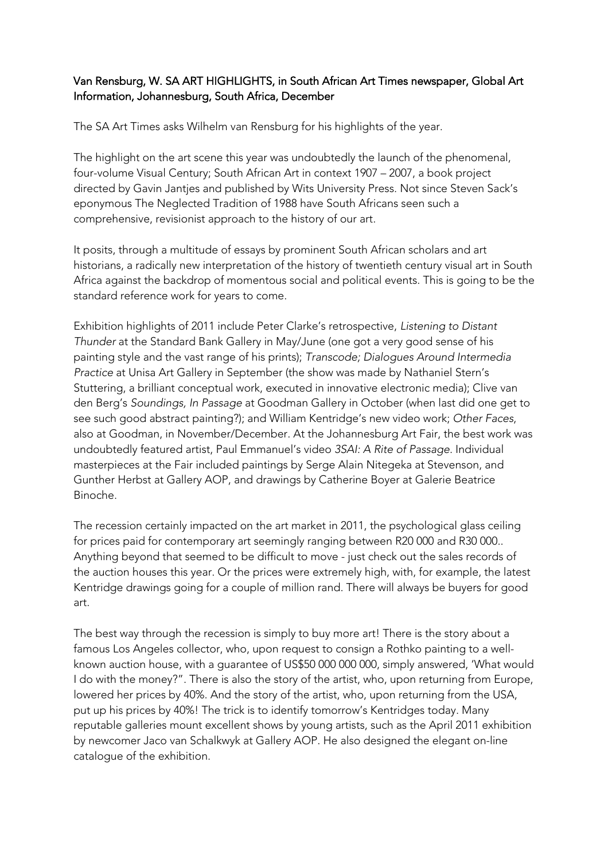## Van Rensburg, W. SA ART HIGHLIGHTS, in South African Art Times newspaper, Global Art Information, Johannesburg, South Africa, December

The SA Art Times asks Wilhelm van Rensburg for his highlights of the year.

The highlight on the art scene this year was undoubtedly the launch of the phenomenal, four-volume Visual Century; South African Art in context 1907 – 2007, a book project directed by Gavin Jantjes and published by Wits University Press. Not since Steven Sack's eponymous The Neglected Tradition of 1988 have South Africans seen such a comprehensive, revisionist approach to the history of our art.

It posits, through a multitude of essays by prominent South African scholars and art historians, a radically new interpretation of the history of twentieth century visual art in South Africa against the backdrop of momentous social and political events. This is going to be the standard reference work for years to come.

Exhibition highlights of 2011 include Peter Clarke's retrospective, *Listening to Distant Thunder* at the Standard Bank Gallery in May/June (one got a very good sense of his painting style and the vast range of his prints); *Transcode; Dialogues Around Intermedia Practice* at Unisa Art Gallery in September (the show was made by Nathaniel Stern's Stuttering, a brilliant conceptual work, executed in innovative electronic media); Clive van den Berg's *Soundings, In Passage* at Goodman Gallery in October (when last did one get to see such good abstract painting?); and William Kentridge's new video work; *Other Faces*, also at Goodman, in November/December. At the Johannesburg Art Fair, the best work was undoubtedly featured artist, Paul Emmanuel's video *3SAI: A Rite of Passage*. Individual masterpieces at the Fair included paintings by Serge Alain Nitegeka at Stevenson, and Gunther Herbst at Gallery AOP, and drawings by Catherine Boyer at Galerie Beatrice Binoche.

The recession certainly impacted on the art market in 2011, the psychological glass ceiling for prices paid for contemporary art seemingly ranging between R20 000 and R30 000.. Anything beyond that seemed to be difficult to move - just check out the sales records of the auction houses this year. Or the prices were extremely high, with, for example, the latest Kentridge drawings going for a couple of million rand. There will always be buyers for good art.

The best way through the recession is simply to buy more art! There is the story about a famous Los Angeles collector, who, upon request to consign a Rothko painting to a wellknown auction house, with a guarantee of US\$50 000 000 000, simply answered, 'What would I do with the money?". There is also the story of the artist, who, upon returning from Europe, lowered her prices by 40%. And the story of the artist, who, upon returning from the USA, put up his prices by 40%! The trick is to identify tomorrow's Kentridges today. Many reputable galleries mount excellent shows by young artists, such as the April 2011 exhibition by newcomer Jaco van Schalkwyk at Gallery AOP. He also designed the elegant on-line catalogue of the exhibition.